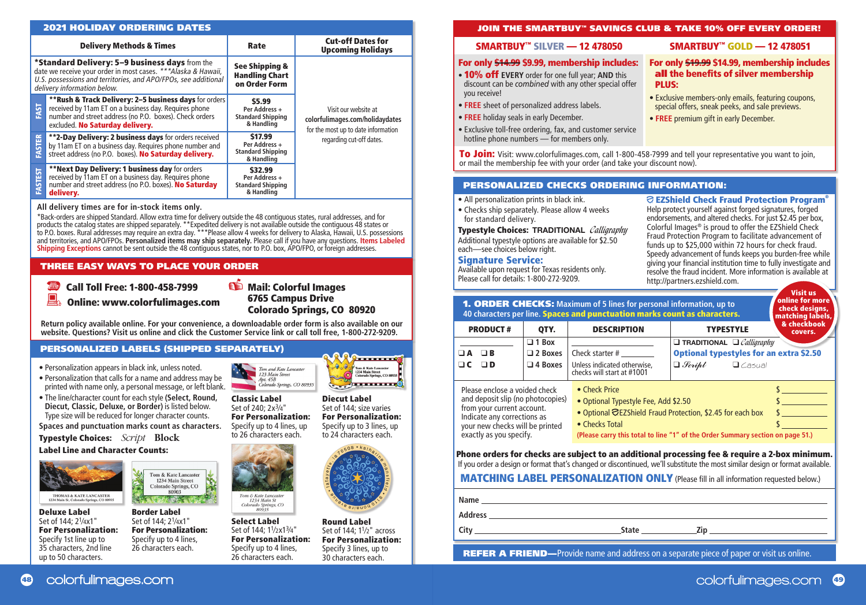#### Delivery Methods & Times **Cut-off Dates for Section** Cut-off Dates for **Upcoming Holidays** \*Standard Delivery: 5–9 business days from the date we receive your order in most cases. \*\*\*Alaska & Hawaii, U.S. possessions and territories, and APO/FPOs, see additional See Shipping & Handling Chart 2021 HOLIDAY ORDERING DATES

|               | U.S. possessions and territories, and APO/FPOs, see additional<br>delivery information below.                                                                                                                | on Order Form                                                      |                                                                                                |
|---------------|--------------------------------------------------------------------------------------------------------------------------------------------------------------------------------------------------------------|--------------------------------------------------------------------|------------------------------------------------------------------------------------------------|
| FAST          | **Rush & Track Delivery: 2-5 business days for orders<br>received by 11am ET on a business day. Requires phone<br>number and street address (no P.O. boxes). Check orders<br>excluded. No Saturday delivery. | \$5.99<br>Per Address +<br><b>Standard Shipping</b><br>& Handling  | Visit our website at<br>colorfulimages.com/holidaydates<br>for the most up to date information |
| <b>FASTER</b> | **2-Day Delivery: 2 business days for orders received<br>by 11am ET on a business day. Requires phone number and<br>street address (no P.O. boxes). No Saturday delivery.                                    | \$17.99<br>Per Address +<br><b>Standard Shipping</b><br>& Handling | regarding cut-off dates.                                                                       |
| FASTEST       | **Next Day Delivery: 1 business day for orders<br>received by 11am ET on a business day. Requires phone<br>number and street address (no P.O. boxes). No Saturday<br>delivery.                               | \$32.99<br>Per Address +<br><b>Standard Shipping</b><br>& Handling |                                                                                                |

### **All delivery times are for in-stock items only.**

\*Back-orders are shipped Standard. Allow extra time for delivery outside the 48 contiguous states, rural addresses, and for products the catalog states are shipped separately. \*\*Expedited delivery is not available outside the contiguous 48 states or<br>to P.O. boxes. Rural addresses may require an extra day. \*\*\*Please allow 4 weeks for delivery to and territories, and APO/FPOs. **Personalized items may ship separately.** Please call if you have any questions. **Items Labeled Shipping Exceptions** cannot be sent outside the 48 contiguous states, nor to P.O. box, APO/FPO, or foreign addresses.

# THREE EASY WAYS TO PLACE YOUR ORDER

Call Toll Free: 1-800-458-7999

*S* Mail: Colorful Images 6765 Campus Drive Colorado Springs, CO 80920

Online: www.colorfulimages.com

**Return policy available online. For your convenience, a downloadable order form is also available on our website. Questions? Visit us online and click the Customer Service link or call toll free, 1-800-272-9209.**

# PERSONALIZED LABELS (SHIPPED SEPARATELY)

- Personalization appears in black ink, unless noted.
- Personalization that calls for a name and address may be printed with name only, a personal message, or left blank.
- The line/character count for each style **(Select, Round, Diecut, Classic, Deluxe, or Border)** is listed below. Type size will be reduced for longer character counts.

**Spaces and punctuation marks count as characters.** 

Typestyle Choices: *Script* **Block**

Label Line and Character Counts:



Deluxe Label Set of 144; 21⁄4x1" For Personalization: Specify 1st line up to 35 characters, 2nd line up to 50 characters.

Tom & Kate Lancaster 1234 Main Street Colorado Springs, CO 80903  $-4.77$ 

Border Label Set of 144; 21⁄4x1" For Personalization: Specify up to 4 lines, 26 characters each.

Specify up to 3 lines, up to 24 characters each. Classic Label Set of 240; 2x3⁄4" For Personalization: Specify up to 4 lines, up to 26 characters each.

Select Label Set of 144: 1<sup>1</sup>/2x1<sup>3</sup>/4"

Tom & Kate Lancaste

1234 Main St Colorado Springs, CO<br>80935

Specify up to 4 lines, 26 characters each.



**Production Control** 

**Tom & Kate Lancaster** 1234 Main Street<br>Colorado Springs, CO 809. **France Co** 

Round Label Set of 144; 11⁄2" across For Personalization: Specify 3 lines, up to 30 characters each. For Personalization:

### JOIN THE SMARTBUY™ SAVINGS CLUB & TAKE 10% OFF EVERY ORDER!

## SMARTBUY™ SILVER — 12 478050

# For only \$14.99 \$9.99, membership includes:

- 10% off **EVERY** order for one full year; **AND** this discount can be *combined* with any other special offer you receive!
- **FREE** sheet of personalized address labels.
- **FREE** holiday seals in early December.
- Exclusive toll-free ordering, fax, and customer service hotline phone numbers — for members only.

SMARTBUY™ GOLD — 12 478051

#### For only \$19.99 \$14.99, membership includes all the benefits of silver membership PLUS:

- Exclusive members-only emails, featuring coupons, special offers, sneak peeks, and sale previews.
- **FREE** premium gift in early December.

To Join: Visit: www.colorfulimages.com, call 1-800-458-7999 and tell your representative you want to join, or mail the membership fee with your order (and take your discount now).

#### PERSONALIZED CHECKS ORDERING INFORMATION:

- All personalization prints in black ink.
- Checks ship separately. Please allow 4 weeks for standard delivery.

Typestyle Choices: **TRADITIONAL** Calligraphy Additional typestyle options are available for \$2.50 each—see choices below right.

#### Signature Service:

Available upon request for Texas residents only. Please call for details: 1-800-272-9209.

# EZShield Check Fraud Protection Program®

Help protect yourself against forged signatures, forged endorsements, and altered checks. For just \$2.45 per box, Colorful Images® is proud to offer the EZShield Check Fraud Protection Program to facilitate advancement of funds up to \$25,000 within 72 hours for check fraud. Speedy advancement of funds keeps you burden-free while giving your financial institution time to fully investigate and resolve the fraud incident. More information is available at http://partners.ezshield.com.

| <b>1. ORDER CHECKS:</b> Maximum of 5 lines for personal information, up to<br>40 characters per line. Spaces and punctuation marks count as characters.                                       | Visit us<br>online for more<br>check designs,<br>matching labels, |                                                                                                                                                                                                                                                                                                                                 |                                                                                                                                  |                        |  |  |
|-----------------------------------------------------------------------------------------------------------------------------------------------------------------------------------------------|-------------------------------------------------------------------|---------------------------------------------------------------------------------------------------------------------------------------------------------------------------------------------------------------------------------------------------------------------------------------------------------------------------------|----------------------------------------------------------------------------------------------------------------------------------|------------------------|--|--|
| <b>PRODUCT#</b>                                                                                                                                                                               | QTY.                                                              | <b>DESCRIPTION</b>                                                                                                                                                                                                                                                                                                              | <b>TYPESTYLE</b>                                                                                                                 | & checkbook<br>covers. |  |  |
| $\Box$ A<br>$\Box$ B<br>$\Box$ C<br>ם ב                                                                                                                                                       | $\Box$ 1 Box<br>$\Box$ 2 Boxes<br>$\Box$ 4 Boxes                  | Check starter #<br>Unless indicated otherwise,<br>checks will start at #1001                                                                                                                                                                                                                                                    | $\Box$ TRADITIONAL $\Box$ <i>Calliaraphy</i><br><b>Optional typestyles for an extra \$2.50</b><br>$\Box$ Script<br>$\Box$ Casual |                        |  |  |
| Please enclose a voided check<br>and deposit slip (no photocopies)<br>from your current account.<br>Indicate any corrections as<br>your new checks will be printed<br>exactly as you specify. |                                                                   | • Check Price<br>• Optional Typestyle Fee, Add \$2.50<br>• Optional CEZShield Fraud Protection, \$2.45 for each box<br>• Checks Total<br>(Please carry this total to line "1" of the Order Summary section on page 51.)                                                                                                         |                                                                                                                                  |                        |  |  |
|                                                                                                                                                                                               |                                                                   | Phone orders for checks are subject to an additional processing fee & require a 2-box minimum.<br>If you order a design or format that's changed or discontinued, we'll substitute the most similar design or format available.<br><b>MATCHING LABEL PERSONALIZATION ONLY (Please fill in all information requested below.)</b> |                                                                                                                                  |                        |  |  |

|                | .            |     |  |
|----------------|--------------|-----|--|
| Name           |              |     |  |
| <b>Address</b> |              |     |  |
| City           | <b>State</b> | Zip |  |
|                |              |     |  |

**REFER A FRIEND**—Provide name and address on a separate piece of paper or visit us online.

Diecut Label Set of 144; size varies For Personalization:

Tom and Kate Lancaster<br>
123 Main Street<br>
Apt. 45B<br>
Colorado Springs, CO 80935